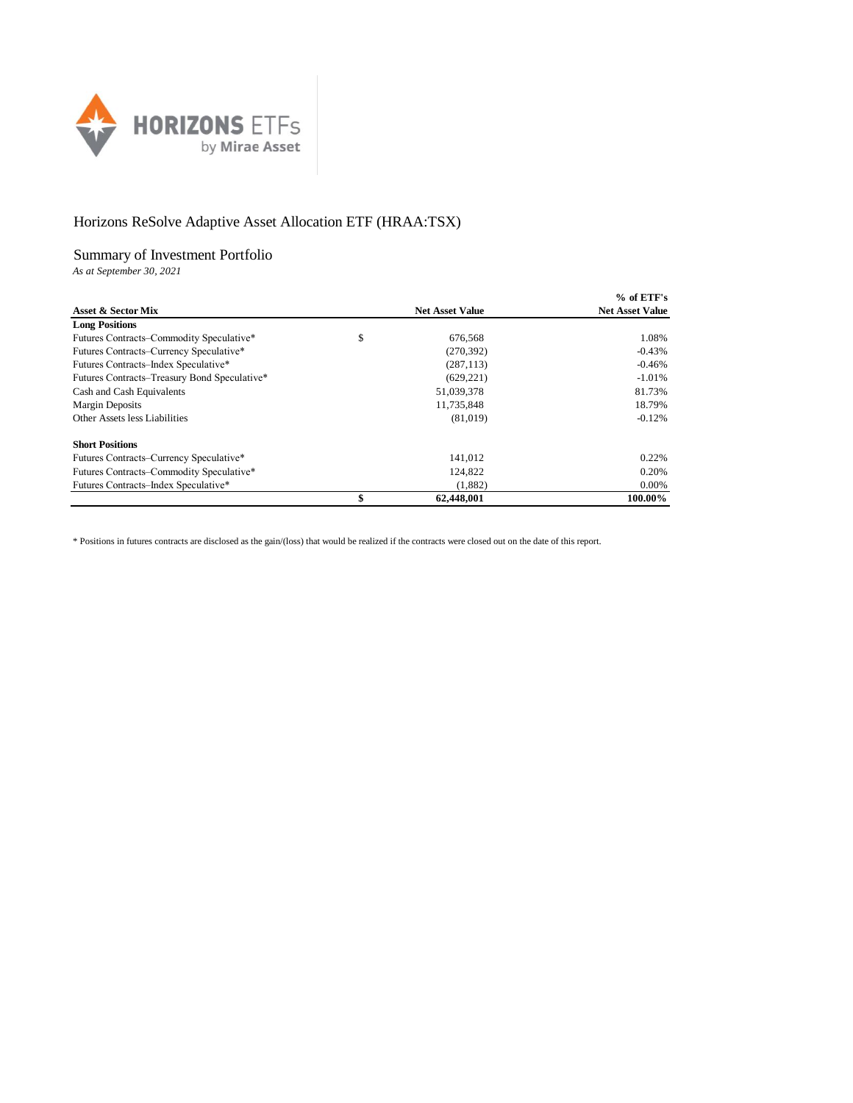

## Horizons ReSolve Adaptive Asset Allocation ETF (HRAA:TSX)

## Summary of Investment Portfolio

*As at September 30, 2021*

|                                              |                        | $%$ of ETF's           |
|----------------------------------------------|------------------------|------------------------|
| Asset & Sector Mix                           | <b>Net Asset Value</b> | <b>Net Asset Value</b> |
| <b>Long Positions</b>                        |                        |                        |
| Futures Contracts–Commodity Speculative*     | \$<br>676.568          | 1.08%                  |
| Futures Contracts–Currency Speculative*      | (270, 392)             | $-0.43%$               |
| Futures Contracts–Index Speculative*         | (287, 113)             | $-0.46%$               |
| Futures Contracts–Treasury Bond Speculative* | (629, 221)             | $-1.01%$               |
| Cash and Cash Equivalents                    | 51,039,378             | 81.73%                 |
| <b>Margin Deposits</b>                       | 11,735,848             | 18.79%                 |
| Other Assets less Liabilities                | (81,019)               | $-0.12%$               |
| <b>Short Positions</b>                       |                        |                        |
| Futures Contracts-Currency Speculative*      | 141,012                | 0.22%                  |
| Futures Contracts-Commodity Speculative*     | 124,822                | 0.20%                  |
| Futures Contracts–Index Speculative*         | (1,882)                | 0.00%                  |
|                                              | \$<br>62,448,001       | 100.00%                |

\* Positions in futures contracts are disclosed as the gain/(loss) that would be realized if the contracts were closed out on the date of this report.